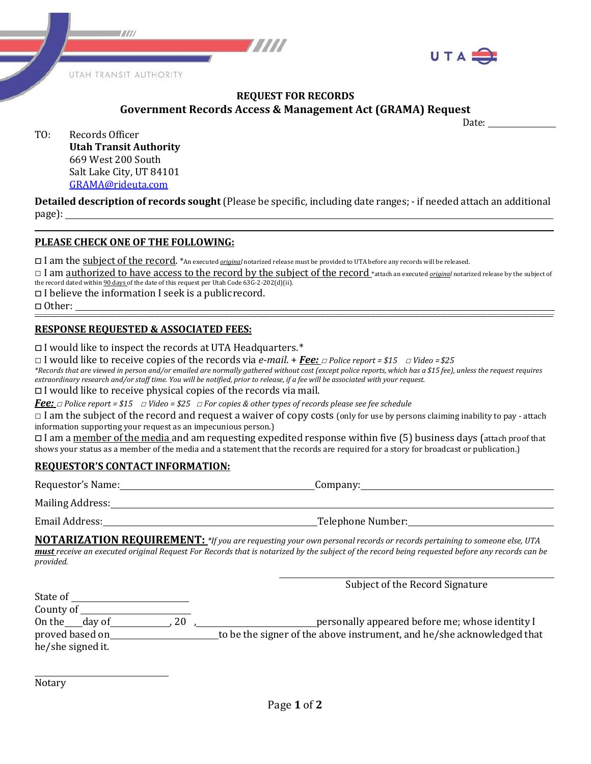



### **REQUEST FOR RECORDS Government Records Access & Management Act (GRAMA) Request**

Date:

| Records Officer               |
|-------------------------------|
| <b>Utah Transit Authority</b> |
| 669 West 200 South            |
| Salt Lake City, UT 84101      |
| GRAMA@rideuta.com             |
|                               |

**Detailed description of records sought** (Please be specific, including date ranges; ‐ if needed attach an additional page):

### **PLEASE CHECK ONE OF THE FOLLOWING:**

□ I am the <u>subject of the record</u>. \*An executed *<u>origina</u>l* notarized release must be provided to UTA before any records will be released.

□ I am authorized to have access to the record by the subject of the record \*attach an executed *original* notarized release by the subject of the record dated within 90 days of the date of this request per Utah Code 63G-2-202(d)(ii).

□ I believe the information I seek is a publicrecord.<br>□ Other: □ Other: **‐‐‐‐‐‐‐‐‐‐‐‐‐‐‐‐‐‐‐‐‐‐‐‐‐‐‐‐‐‐‐‐‐‐‐‐‐‐‐‐‐‐‐‐‐‐‐‐‐‐‐‐‐‐‐‐‐‐‐‐‐‐‐‐‐‐‐‐‐‐‐‐‐‐‐‐‐‐‐‐‐‐‐‐‐‐‐‐‐‐‐‐‐‐‐‐‐‐‐‐‐‐‐‐‐‐‐‐‐‐‐‐‐‐‐‐‐‐‐‐‐‐‐‐‐‐‐‐‐‐‐‐‐‐‐‐‐‐‐‐‐‐‐‐‐‐‐‐‐‐‐‐‐‐‐‐‐‐‐‐‐‐‐‐‐‐‐‐‐‐‐‐‐‐‐‐‐‐‐‐‐‐‐‐‐‐‐‐‐‐‐‐‐‐‐‐‐‐‐‐‐‐‐‐‐‐‐‐‐‐‐‐‐‐‐‐‐‐‐‐‐‐‐‐‐‐‐‐‐‐‐‐‐‐‐‐‐‐‐‐‐‐‐‐‐‐‐‐‐‐‐‐‐‐‐‐‐‐‐‐‐‐‐‐‐‐‐‐‐‐‐‐‐‐‐‐‐‐‐‐‐‐‐‐‐‐‐‐‐‐‐‐‐‐‐‐‐‐‐‐‐‐‐‐‐‐‐‐‐‐‐‐‐‐‐‐‐‐‐‐**

# **RESPONSE REQUESTED & ASSOCIATED FEES:**

□I would like to inspect the records at UTA Headquarters.\*

□ I would like to receive copies of the records via *e‐mail*. + *Fee:* □ *Police report = \$15* □ *Video =\$25*

*\*Records that are viewed in person and/or emailed are normally gathered without cost (except police reports, which has a \$15 fee), unless the request requires extraordinary research and/or staff time. You will be notified, prior to release, if a fee will be associated with your request.*

□I would like to receive physical copies of the records via mail.

*Fee:* □ *Police report = \$15* □ *Video = \$25* □ *For copies & other types of records please see fee schedule*

 $\Box$  I am the subject of the record and request a waiver of copy costs (only for use by persons claiming inability to pay - attach information supporting your request as an impecunious person.)

 $\Box$  I am a member of the media and am requesting expedited response within five (5) business days (attach proof that shows your status as a member of the media and a statement that the records are required for a story for broadcast or publication.)

# **REQUESTOR'S CONTACT INFORMATION:**

| Requestor's Name: | Company:          |
|-------------------|-------------------|
| Mailing Address:  |                   |
| Email Address:    | Telephone Number: |

**NOTARIZATION REQUIREMENT:** *\*If you are requesting your own personal records or records pertaining to someone else, UTA must receive an executed original Request For Records that is notarized by the subject of the record being requested before any records can be provided.*

|                   |    | Subject of the Record Signature                                        |
|-------------------|----|------------------------------------------------------------------------|
| State of          |    |                                                                        |
| County of         |    |                                                                        |
| On the day of     | 20 | personally appeared before me; whose identity I                        |
| proved based on   |    | to be the signer of the above instrument, and he/she acknowledged that |
| he/she signed it. |    |                                                                        |
|                   |    |                                                                        |

Notary